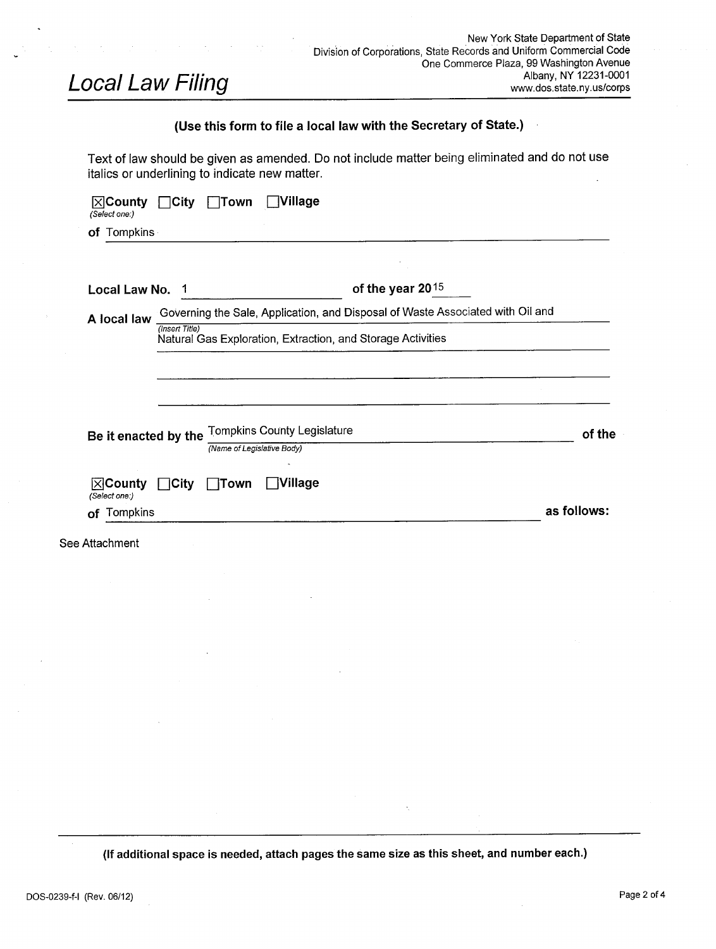# Local Law Filing

 $\bar{\phantom{a}}$ 

## Use this form to file a local law with the Secretary of State.)

Text of law should be given as amended. Do not include matter being eliminated and do not use italics or underlining to indicate new matter.

| Local Law No.                       |                                                                                | of the year $2015$                                          |             |  |  |
|-------------------------------------|--------------------------------------------------------------------------------|-------------------------------------------------------------|-------------|--|--|
| A local law                         | Governing the Sale, Application, and Disposal of Waste Associated with Oil and |                                                             |             |  |  |
|                                     | (Insert Title)                                                                 | Natural Gas Exploration, Extraction, and Storage Activities |             |  |  |
|                                     |                                                                                |                                                             |             |  |  |
|                                     |                                                                                |                                                             |             |  |  |
| Be it enacted by the                |                                                                                | <b>Tompkins County Legislature</b>                          | of the      |  |  |
|                                     |                                                                                | (Name of Legislative Body)                                  |             |  |  |
| $\boxtimes$ County<br>(Select one:) | $\bigcap$ City                                                                 | <b>Nillage</b><br>$\Box$ Town                               |             |  |  |
|                                     |                                                                                |                                                             | as follows: |  |  |

If additional space is needed, attach pages the same size as this sheet, and number each.)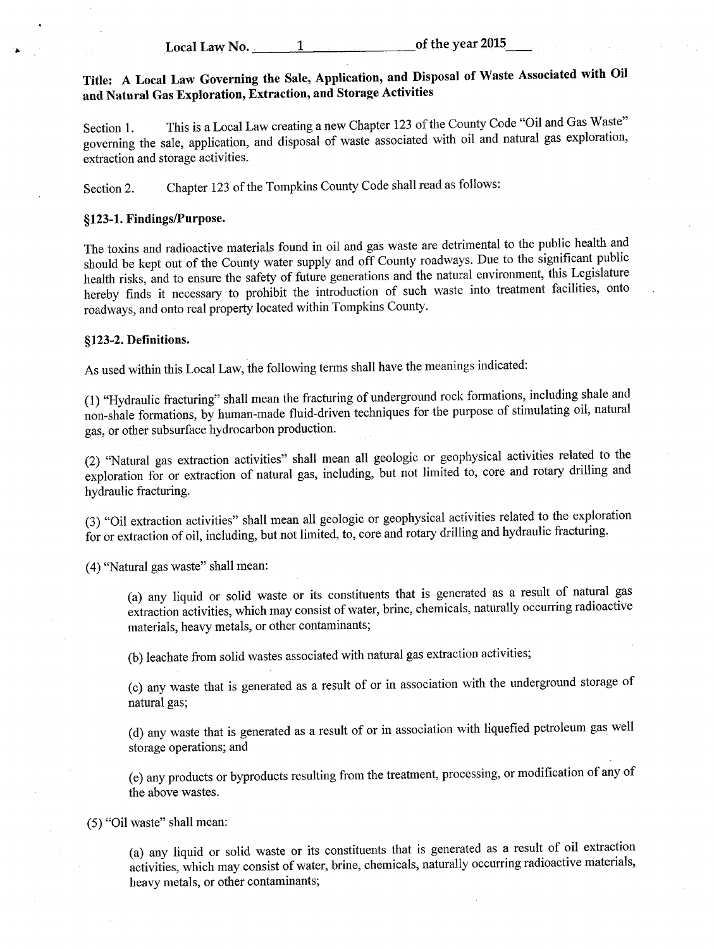Local Law No.  $1$  of the year 2015

## Title: A Local Law Governing the Sale, Application, and Disposal of Waste Associated with Oil and Natural Gas Exploration, Extraction, and Storage Activities

Section 1. This is a Local Law creating a new Chapter 123 of the County Code "Oil and Gas Waste" governing the sale, application, and disposal of waste associated with oil and natural gas exploration, extraction and storage activities.

Section 2. Chapter <sup>123</sup> of the Tompkins County Code shall read as follows:

#### §123-1. Findings/Purpose.

The toxins and radioactive materials found in oil and gas waste are detrimental to the public health and should be kept out of the County water supply and off County roadways. Due to the significant public health risks, and to ensure the safety of firture generations and the natural environment, this Legislature hereby finds it necessary to prohibit the introduction of such waste into treatment facilities, onto roadways, and onto real property located within Tompkins County.

#### §123-2. Definitions.

As used within this Local Law, the following terms shall have the meanings indicated:

1) " Hydraulic fracturing" shall mean the fracturing of underground rock formations, including shale and non -shale formations, by human -made fluid -driven techniques for the purpose of stimulating oil, natural gas, or other subsurface hydrocarbon production.

2) " Natural gas extraction activities" shall mean all geologic or geophysical activities related to the exploration for or extraction of natural gas, including, but not limited to, core and rotary drilling and hydraulic fracturing.

3) " Oil extraction activities" shall mean all geologic or geophysical activities related to the exploration for or extraction of oil, including, but not limited, to, core and rotary drilling and hydraulic fracturing.

4) " Natural gas waste" shall mean:

a) any liquid or solid waste or its constituents that is generated as <sup>a</sup> result of natural gas extraction activities, which may consist of water, brine, chemicals, naturally occurring radioactive materials, heavy metals, or other contaminants;

b) leachate from solid wastes associated with natural gas extraction activities;

c) any waste that is generated as <sup>a</sup> result of or in association with the underground storage of natural gas;

d) any waste that is generated as <sup>a</sup> result of or in association with liquefied petroleum gas well storage operations; and

e) any products or byproducts resulting from the treatment, processing, or modification of any of the above wastes.

5) " Oil waste" shall mean:

a) any liquid or solid waste or its constituents that is generated as <sup>a</sup> result of oil extraction activities, which may consist of water, brine, chemicals, naturally occurring radioactive materials, heavy metals, or other contaminants;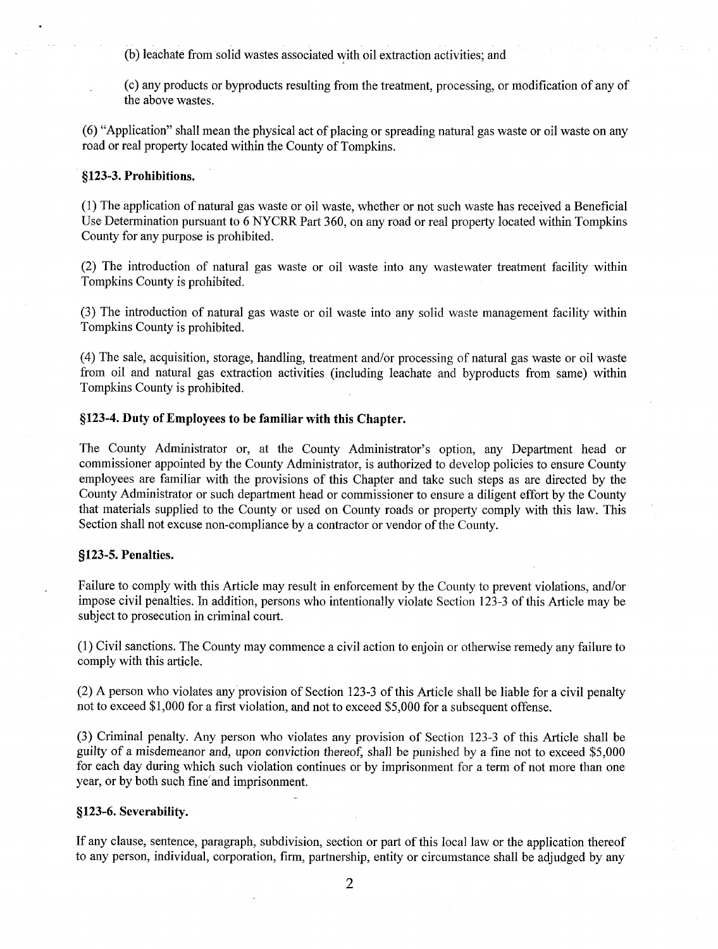b) leachate from solid wastes associated with oil extraction activities; and

c) any products or byproducts resulting from the treatment, processing, or modification of any of the above wastes.

6) " Application" shall mean the physical act ofplacing or spreading natural gas waste or oil waste on any road or real property located within the County of Tompkins.

#### §123-3. Prohibitions.

1) The application of natural gas waste or oil waste, whether or not such waste has received <sup>a</sup> Beneficial Use Determination pursuant to 6 NYCRR Part 360, on any road or real property located within Tompkins County for any purpose is prohibited.

2) The introduction of natural gas waste or oil waste into any wastewater treatment facility within Tompkins County is prohibited.

3) The introduction of natural gas waste or oil waste into any solid waste management facility within Tompkins County is prohibited.

4) The sale, acquisition, storage, handling, treatment and/or processing of natural gas waste or oil waste from oil and natural gas extraction activities (including leachate and byproducts from same) within Tompkins County is prohibited.

#### 123- 4. Duty of Employees to be familiar with this Chapter.

The County Administrator or, at the County Administrator's option, any Department head or commissioner appointed by the County Administrator, is authorized to develop policies to ensure County employees are familiar with the provisions of this Chapter and take such steps as are directed by the County Administrator or such department head or commissioner to ensure a diligent effort by the County that materials supplied to the County or used on County roads or property comply with this law. This Section shall not excuse non-compliance by <sup>a</sup> contractor or vendor of the County.

#### §123-5. Penalties.

Failure to comply with this Article may result in enforcement by the County to prevent violations, and/or impose civil penalties. In addition, persons who intentionally violate Section 123-3 of this Article may be subject to prosecution in criminal court.

1) Civil sanctions. The County may commence a civil action to enjoin or otherwise remedy any failure to comply with this article.

(2) A person who violates any provision of Section 123-3 of this Article shall be liable for a civil penalty not to exceed \$1,000 for a first violation, and not to exceed \$5,000 for a subsequent offense.

3) Criminal penalty. Any person who violates any provision of Section 123- <sup>3</sup> of this Article shall be guilty of a misdemeanor and, upon conviction thereof, shall be punished by a fine not to exceed \$5,000 for each day during which such violation continues or by imprisonment for <sup>a</sup> term of not more than one year, or by both such fine`and imprisonment.

#### §123-6. Severability.

If any clause, sentence, paragraph, subdivision, section or part of this local law or the application thereof to any person, individual, corporation, firm, partnership, entity or circumstance shall be adjudged by any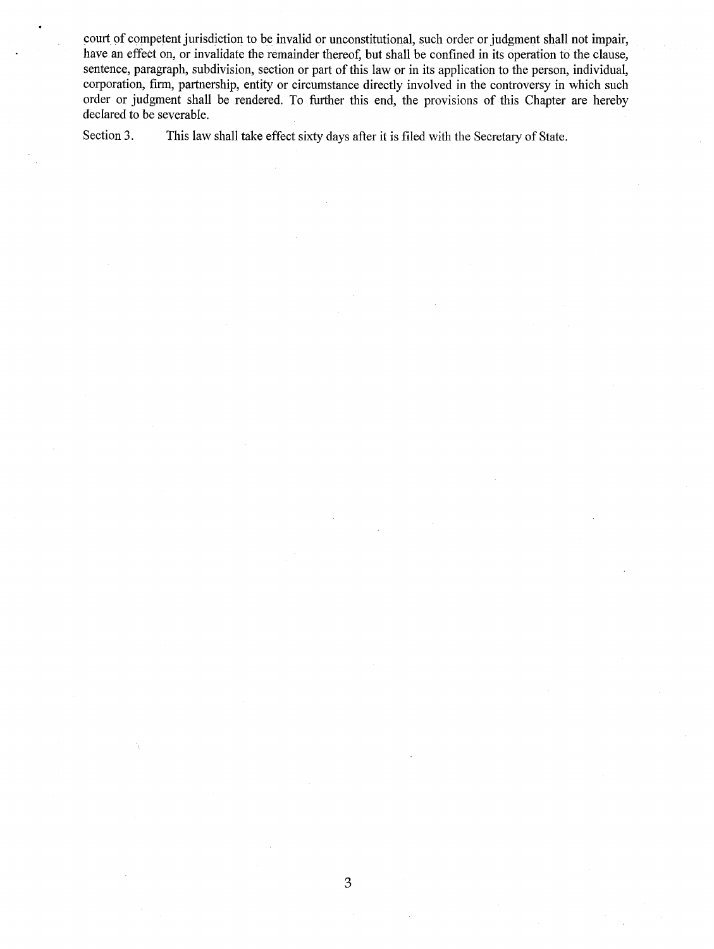court of competent jurisdiction to be invalid or unconstitutional, such order or judgment shall not impair, have an effect on, or invalidate the remainder thereof, but shall be confined in its operation to the clause, sentence, paragraph, subdivision, section or part of this law or in its application to the person, individual, corporation, firm, partnership, entity or circumstance directly involved in the controversy in which such order or judgment shall be rendered. To further this end, the provisions of this Chapter are hereby declared to be severable.

Section 3. This law shall take effect sixty days after it is filed with the Secretary of State.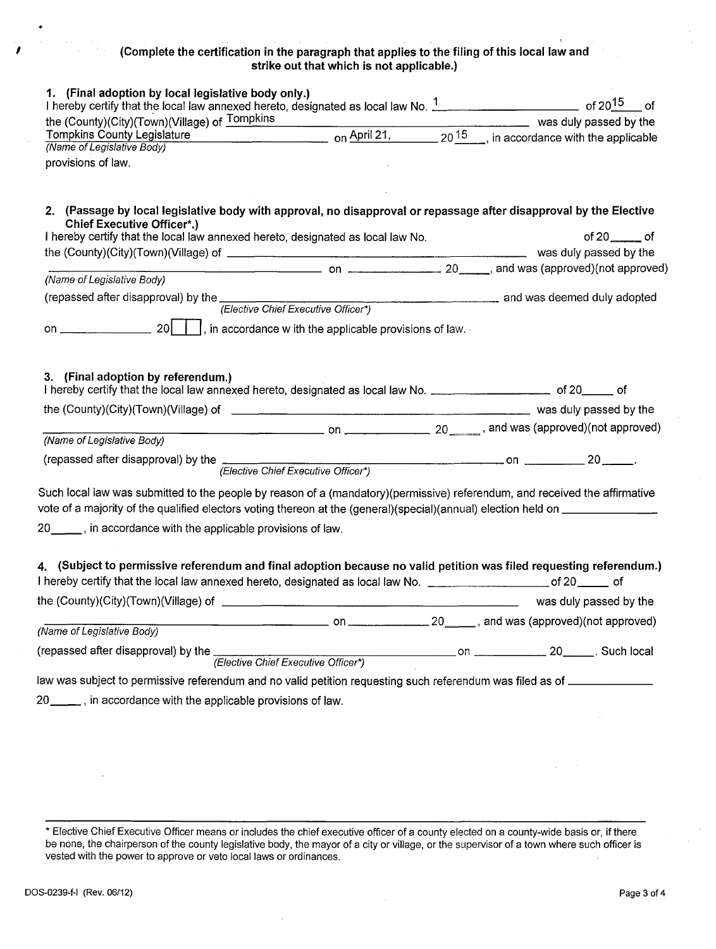### Complete the certification in the paragraph that applies to the filing of this local law and strike out that which is not applicable.)

| 1. (Final adoption by local legislative body only.)                                                                                                     |  |                     |  |
|---------------------------------------------------------------------------------------------------------------------------------------------------------|--|---------------------|--|
|                                                                                                                                                         |  |                     |  |
| the (County)(City)(Town)(Village) of Tompkins                                                                                                           |  |                     |  |
| Tompkins County Legislature on April 21, 20 <sup>15</sup> , in accordance with the applicable                                                           |  |                     |  |
| (Name of Legislative Body)                                                                                                                              |  |                     |  |
| provisions of law.                                                                                                                                      |  |                     |  |
|                                                                                                                                                         |  |                     |  |
|                                                                                                                                                         |  |                     |  |
| 2. (Passage by local legislative body with approval, no disapproval or repassage after disapproval by the Elective<br><b>Chief Executive Officer*.)</b> |  |                     |  |
| I hereby certify that the local law annexed hereto, designated as local law No.                                                                         |  | of $20$ ________ of |  |
|                                                                                                                                                         |  |                     |  |
|                                                                                                                                                         |  |                     |  |
| (Name of Legislative Body)                                                                                                                              |  |                     |  |
| (repassed after disapproval) by the (Elective Chief Executive Officer*) and was deemed duly adopted                                                     |  |                     |  |
|                                                                                                                                                         |  |                     |  |
|                                                                                                                                                         |  |                     |  |
|                                                                                                                                                         |  |                     |  |
| $\overline{\phantom{a}}$ on $\overline{\phantom{a}}$ 20 $\overline{\phantom{a}}$ , and was (approved)(not approved)<br>(Name of Legislative Body)       |  |                     |  |
|                                                                                                                                                         |  |                     |  |
|                                                                                                                                                         |  |                     |  |
|                                                                                                                                                         |  |                     |  |
| Such local law was submitted to the people by reason of a (mandatory)(permissive) referendum, and received the affirmative                              |  |                     |  |
| vote of a majority of the qualified electors voting thereon at the (general)(special)(annual) election held on ______________                           |  |                     |  |
| 20 <sub>____</sub> , in accordance with the applicable provisions of law.                                                                               |  |                     |  |
|                                                                                                                                                         |  |                     |  |
| 4. (Subject to permissive referendum and final adoption because no valid petition was filed requesting referendum.)                                     |  |                     |  |
| I hereby certify that the local law annexed hereto, designated as local law No. ___________________________of 20_________ of                            |  |                     |  |
|                                                                                                                                                         |  |                     |  |
|                                                                                                                                                         |  |                     |  |
| (Name of Legislative Body)                                                                                                                              |  |                     |  |
|                                                                                                                                                         |  |                     |  |
|                                                                                                                                                         |  |                     |  |
| law was subject to permissive referendum and no valid petition requesting such referendum was filed as of <b>construents</b>                            |  |                     |  |
| 20 ____, in accordance with the applicable provisions of law.                                                                                           |  |                     |  |
|                                                                                                                                                         |  |                     |  |

Elective Chief Executive Officer means or includes the chief executive officer of a county elected on a county -wide basis or, if there be none, the chairperson of the county legislative body, the mayor of a city or village, or the supervisor of a town where such officer is vested with the power to approve or veto local laws or ordinances.